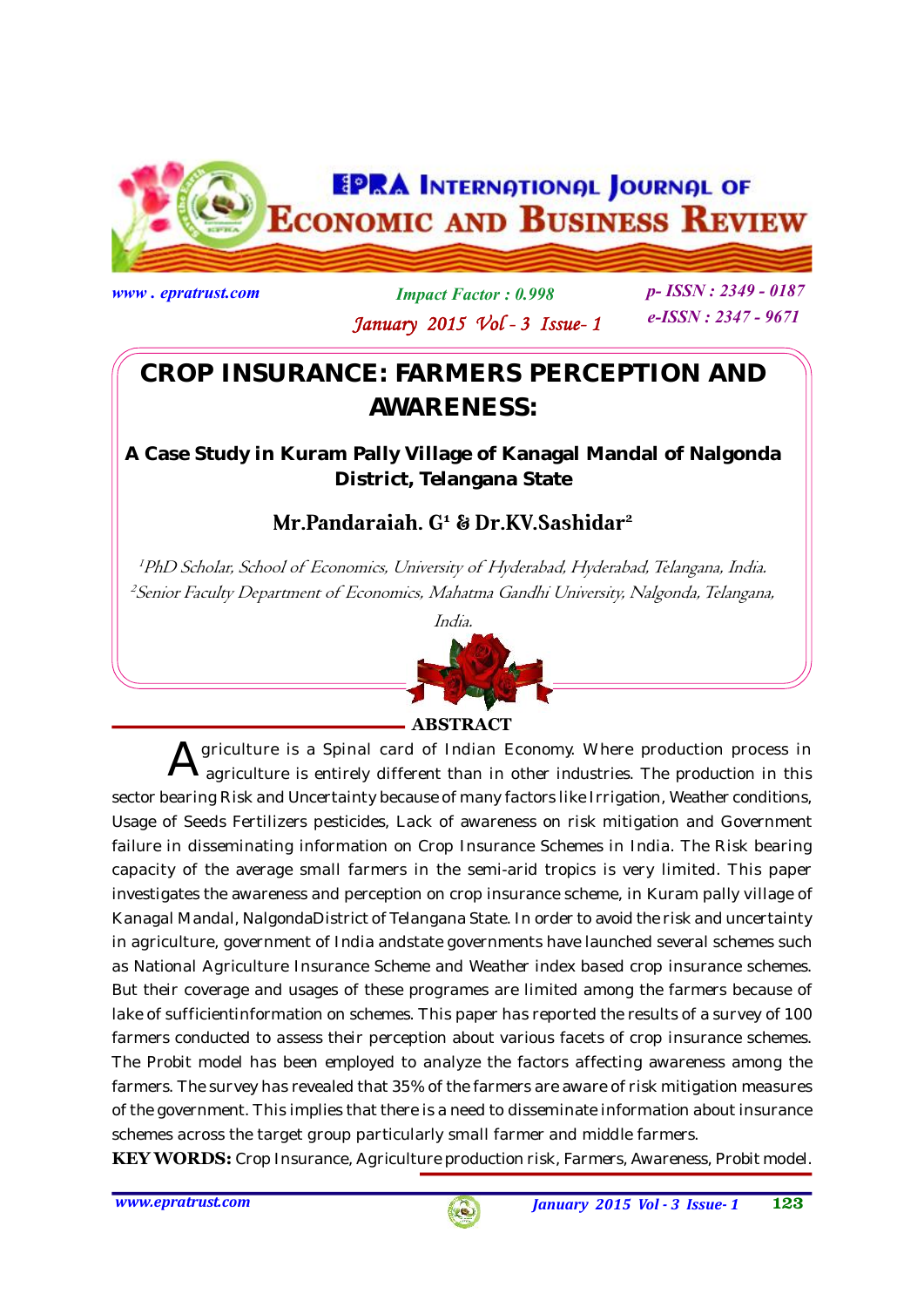

**www . epratrust.com Impact Factor : 0.998 p- ISSN : 2349 - 0187 e-ISSN : 2347 - 9671 January 2015 Vol - 3 Issue- 1**

# **CROP INSURANCE: FARMERS PERCEPTION AND AWARENESS:**

**A Case Study in Kuram Pally Village of Kanagal Mandal of Nalgonda District, Telangana State**

# **Mr.Pandaraiah. G<sup>1</sup> & Dr.KV.Sashidar<sup>2</sup>**

*1PhD Scholar, School of Economics, University of Hyderabad, Hyderabad, Telangana, India. <sup>2</sup> Senior Faculty Department of Economics, Mahatma Gandhi University, Nalgonda, Telangana,*



# **ABSTRACT**

 ${\mathbf A}$  griculture is a Spinal card of Indian Economy. Where production process in<br>agriculture is entirely different than in other industries. The production in this agriculture is entirely different than in other industries. The production in this sector bearing Risk and Uncertainty because of many factors like Irrigation, Weather conditions, Usage of Seeds Fertilizers pesticides, Lack of awareness on risk mitigation and Government failure in disseminating information on Crop Insurance Schemes in India. The Risk bearing capacity of the average small farmers in the semi-arid tropics is very limited. This paper investigates the awareness and perception on crop insurance scheme, in Kuram pally village of Kanagal Mandal, NalgondaDistrict of Telangana State. In order to avoid the risk and uncertainty in agriculture, government of India andstate governments have launched several schemes such as National Agriculture Insurance Scheme and Weather index based crop insurance schemes. But their coverage and usages of these programes are limited among the farmers because of lake of sufficientinformation on schemes. This paper has reported the results of a survey of 100 farmers conducted to assess their perception about various facets of crop insurance schemes. The Probit model has been employed to analyze the factors affecting awareness among the farmers. The survey has revealed that 35% of the farmers are aware of risk mitigation measures of the government. This implies that there is a need to disseminate information about insurance schemes across the target group particularly small farmer and middle farmers.

**KEY WORDS:** Crop Insurance, Agriculture production risk, Farmers, Awareness, Probit model.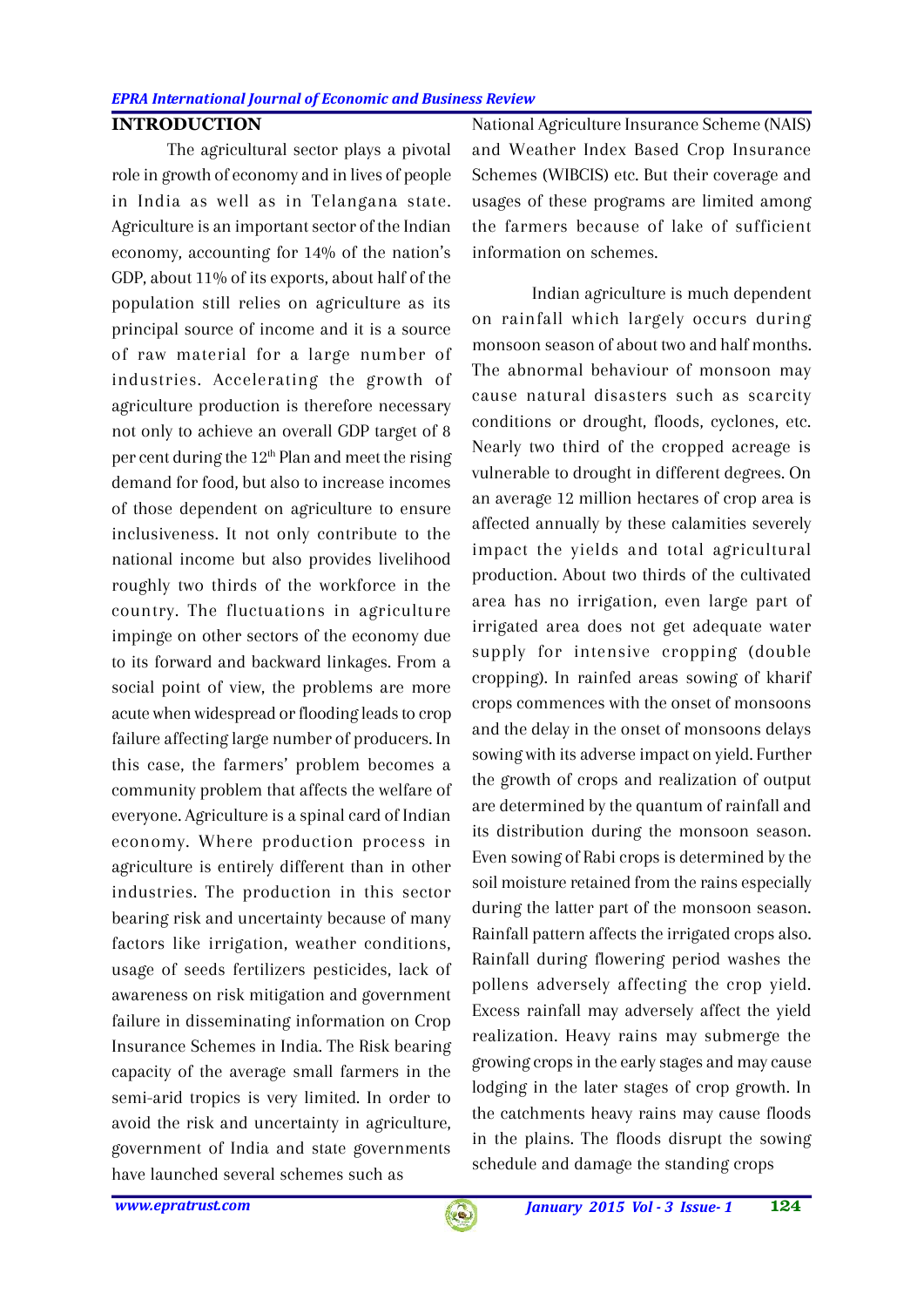## **INTRODUCTION**

The agricultural sector plays a pivotal role in growth of economy and in lives of people in India as well as in Telangana state. Agriculture is an important sector of the Indian economy, accounting for 14% of the nation's GDP, about 11% of its exports, about half of the population still relies on agriculture as its principal source of income and it is a source of raw material for a large number of industries. Accelerating the growth of agriculture production is therefore necessary not only to achieve an overall GDP target of 8 per cent during the  $12<sup>th</sup>$  Plan and meet the rising demand for food, but also to increase incomes of those dependent on agriculture to ensure inclusiveness. It not only contribute to the national income but also provides livelihood roughly two thirds of the workforce in the country. The fluctuations in agriculture impinge on other sectors of the economy due to its forward and backward linkages. From a social point of view, the problems are more acute when widespread or flooding leads to crop failure affecting large number of producers. In this case, the farmers' problem becomes a community problem that affects the welfare of everyone. Agriculture is a spinal card of Indian economy. Where production process in agriculture is entirely different than in other industries. The production in this sector bearing risk and uncertainty because of many factors like irrigation, weather conditions, usage of seeds fertilizers pesticides, lack of awareness on risk mitigation and government failure in disseminating information on Crop Insurance Schemes in India. The Risk bearing capacity of the average small farmers in the semi-arid tropics is very limited. In order to avoid the risk and uncertainty in agriculture, government of India and state governments have launched several schemes such as

National Agriculture Insurance Scheme (NAIS) and Weather Index Based Crop Insurance Schemes (WIBCIS) etc. But their coverage and usages of these programs are limited among the farmers because of lake of sufficient information on schemes.

 Indian agriculture is much dependent on rainfall which largely occurs during monsoon season of about two and half months. The abnormal behaviour of monsoon may cause natural disasters such as scarcity conditions or drought, floods, cyclones, etc. Nearly two third of the cropped acreage is vulnerable to drought in different degrees. On an average 12 million hectares of crop area is affected annually by these calamities severely impact the yields and total agricultural production. About two thirds of the cultivated area has no irrigation, even large part of irrigated area does not get adequate water supply for intensive cropping (double cropping). In rainfed areas sowing of kharif crops commences with the onset of monsoons and the delay in the onset of monsoons delays sowing with its adverse impact on yield. Further the growth of crops and realization of output are determined by the quantum of rainfall and its distribution during the monsoon season. Even sowing of Rabi crops is determined by the soil moisture retained from the rains especially during the latter part of the monsoon season. Rainfall pattern affects the irrigated crops also. Rainfall during flowering period washes the pollens adversely affecting the crop yield. Excess rainfall may adversely affect the yield realization. Heavy rains may submerge the growing crops in the early stages and may cause lodging in the later stages of crop growth. In the catchments heavy rains may cause floods in the plains. The floods disrupt the sowing schedule and damage the standing crops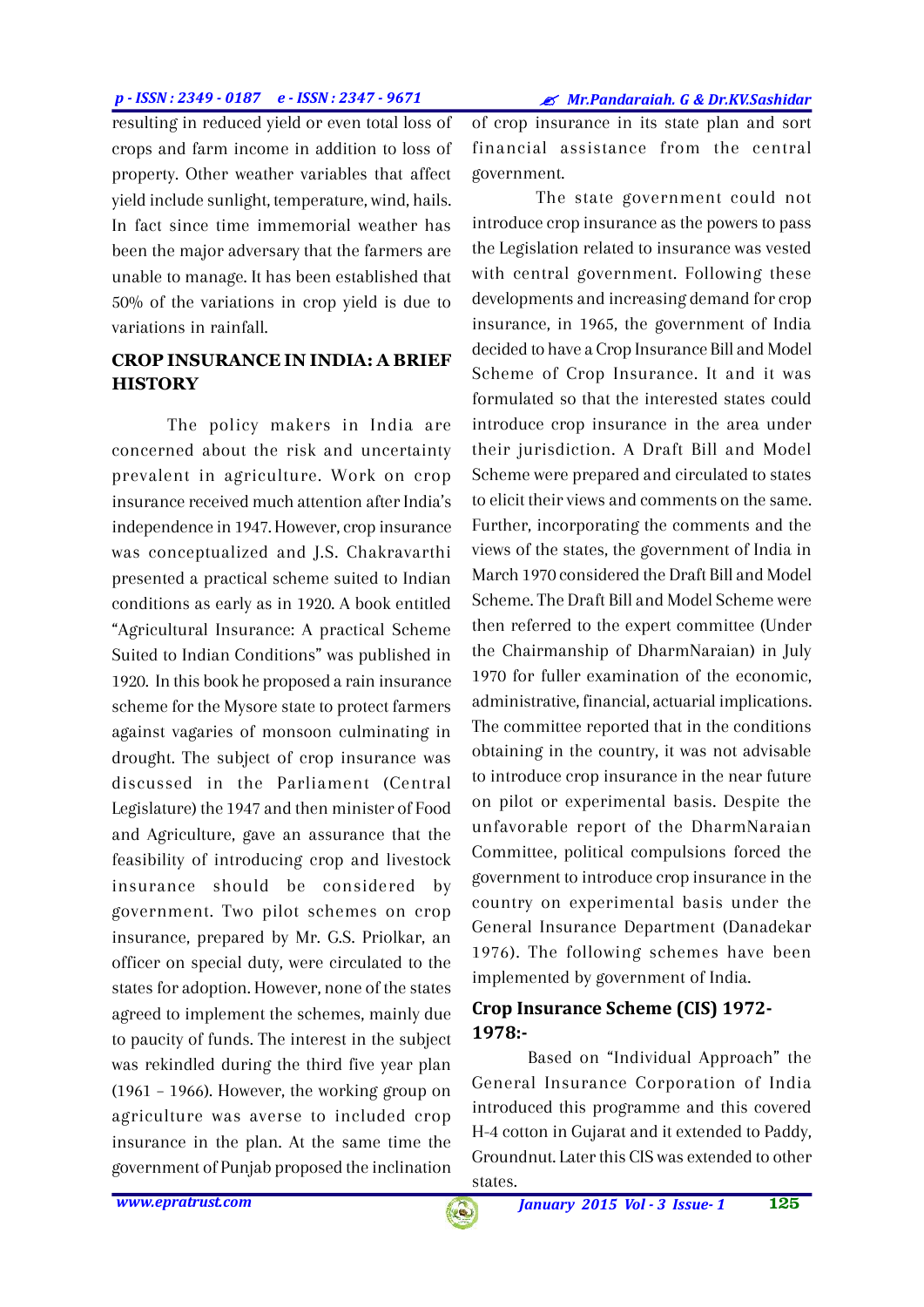#### *p - ISSN : 2349 - 0187 e - ISSN : 2347 - 9671*

*Mr.Pandaraiah. G & Dr.KV.Sashidar*

resulting in reduced yield or even total loss of crops and farm income in addition to loss of property. Other weather variables that affect yield include sunlight, temperature, wind, hails. In fact since time immemorial weather has been the major adversary that the farmers are unable to manage. It has been established that 50% of the variations in crop yield is due to variations in rainfall.

## **CROP INSURANCE IN INDIA: A BRIEF HISTORY**

The policy makers in India are concerned about the risk and uncertainty prevalent in agriculture. Work on crop insurance received much attention after India's independence in 1947. However, crop insurance was conceptualized and J.S. Chakravarthi presented a practical scheme suited to Indian conditions as early as in 1920. A book entitled "Agricultural Insurance: A practical Scheme Suited to Indian Conditions" was published in 1920. In this book he proposed a rain insurance scheme for the Mysore state to protect farmers against vagaries of monsoon culminating in drought. The subject of crop insurance was discussed in the Parliament (Central Legislature) the 1947 and then minister of Food and Agriculture, gave an assurance that the feasibility of introducing crop and livestock insurance should be considered by government. Two pilot schemes on crop insurance, prepared by Mr. G.S. Priolkar, an officer on special duty, were circulated to the states for adoption. However, none of the states agreed to implement the schemes, mainly due to paucity of funds. The interest in the subject was rekindled during the third five year plan (1961 – 1966). However, the working group on agriculture was averse to included crop insurance in the plan. At the same time the government of Punjab proposed the inclination of crop insurance in its state plan and sort financial assistance from the central government.

 The state government could not introduce crop insurance as the powers to pass the Legislation related to insurance was vested with central government. Following these developments and increasing demand for crop insurance, in 1965, the government of India decided to have a Crop Insurance Bill and Model Scheme of Crop Insurance. It and it was formulated so that the interested states could introduce crop insurance in the area under their jurisdiction. A Draft Bill and Model Scheme were prepared and circulated to states to elicit their views and comments on the same. Further, incorporating the comments and the views of the states, the government of India in March 1970 considered the Draft Bill and Model Scheme. The Draft Bill and Model Scheme were then referred to the expert committee (Under the Chairmanship of DharmNaraian) in July 1970 for fuller examination of the economic, administrative, financial, actuarial implications. The committee reported that in the conditions obtaining in the country, it was not advisable to introduce crop insurance in the near future on pilot or experimental basis. Despite the unfavorable report of the DharmNaraian Committee, political compulsions forced the government to introduce crop insurance in the country on experimental basis under the General Insurance Department (Danadekar 1976). The following schemes have been implemented by government of India.

# **Crop Insurance Scheme (CIS) 1972- 1978:-**

Based on "Individual Approach" the General Insurance Corporation of India introduced this programme and this covered H-4 cotton in Gujarat and it extended to Paddy, Groundnut. Later this CIS was extended to other states.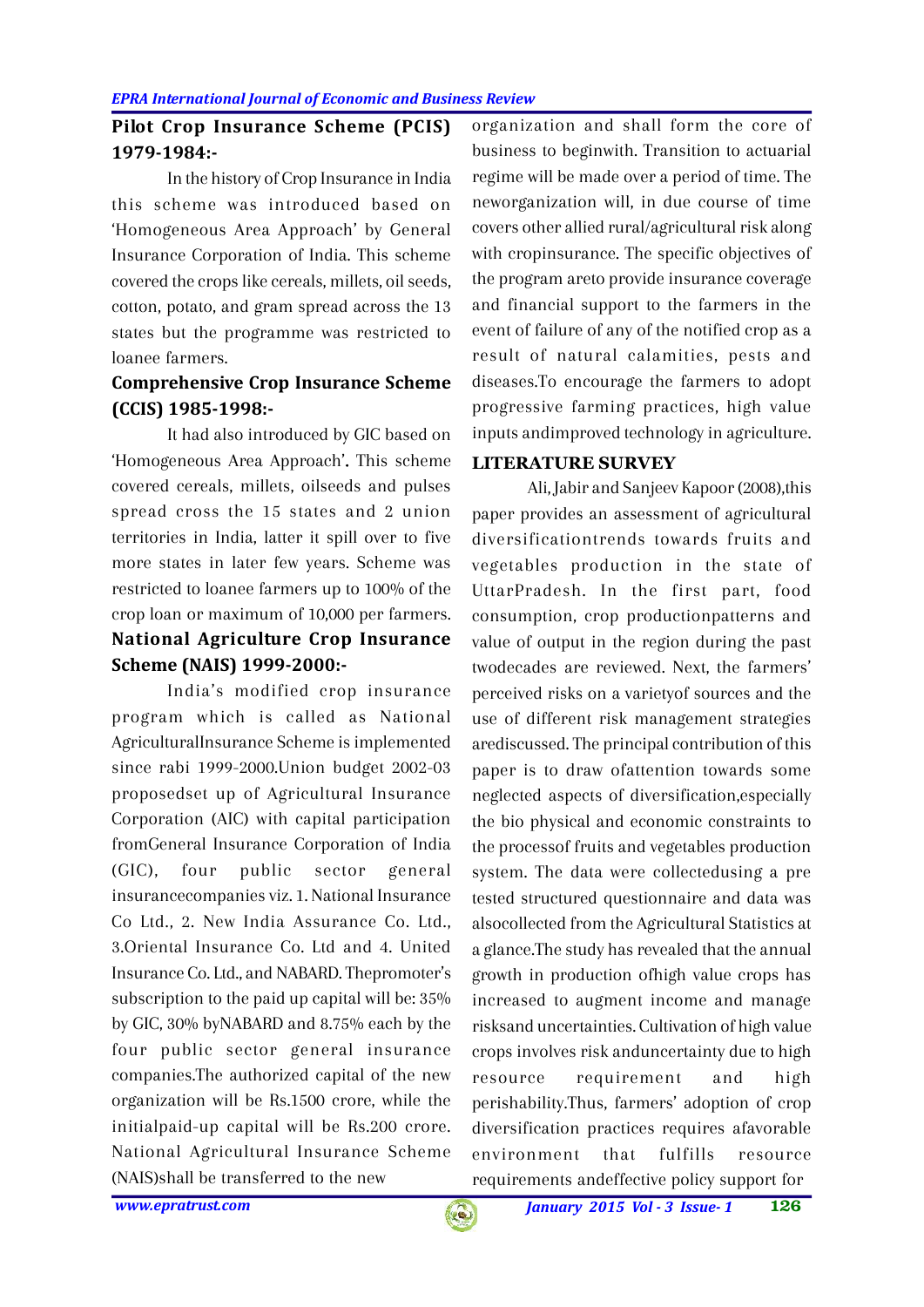# **Pilot Crop Insurance Scheme (PCIS) 1979-1984:-**

In the history of Crop Insurance in India this scheme was introduced based on 'Homogeneous Area Approach' by General Insurance Corporation of India. This scheme covered the crops like cereals, millets, oil seeds, cotton, potato, and gram spread across the 13 states but the programme was restricted to loanee farmers.

# **Comprehensive Crop Insurance Scheme (CCIS) 1985-1998:-**

It had also introduced by GIC based on 'Homogeneous Area Approach'**.** This scheme covered cereals, millets, oilseeds and pulses spread cross the 15 states and 2 union territories in India, latter it spill over to five more states in later few years. Scheme was restricted to loanee farmers up to 100% of the crop loan or maximum of 10,000 per farmers. **National Agriculture Crop Insurance Scheme (NAIS) 1999-2000:-**

India's modified crop insurance program which is called as National AgriculturalInsurance Scheme is implemented since rabi 1999-2000.Union budget 2002-03 proposedset up of Agricultural Insurance Corporation (AIC) with capital participation fromGeneral Insurance Corporation of India (GIC), four public sector general insurancecompanies viz. 1. National Insurance Co Ltd., 2. New India Assurance Co. Ltd., 3.Oriental Insurance Co. Ltd and 4. United Insurance Co. Ltd., and NABARD. Thepromoter's subscription to the paid up capital will be: 35% by GIC, 30% byNABARD and 8.75% each by the four public sector general insurance companies.The authorized capital of the new organization will be Rs.1500 crore, while the initialpaid-up capital will be Rs.200 crore. National Agricultural Insurance Scheme (NAIS)shall be transferred to the new

organization and shall form the core of business to beginwith. Transition to actuarial regime will be made over a period of time. The neworganization will, in due course of time covers other allied rural/agricultural risk along with cropinsurance. The specific objectives of the program areto provide insurance coverage and financial support to the farmers in the event of failure of any of the notified crop as a result of natural calamities, pests and diseases.To encourage the farmers to adopt progressive farming practices, high value inputs andimproved technology in agriculture.

# **LITERATURE SURVEY**

Ali, Jabir and Sanjeev Kapoor (2008),this paper provides an assessment of agricultural diversificationtrends towards fruits and vegetables production in the state of UttarPradesh. In the first part, food consumption, crop productionpatterns and value of output in the region during the past twodecades are reviewed. Next, the farmers' perceived risks on a varietyof sources and the use of different risk management strategies arediscussed. The principal contribution of this paper is to draw ofattention towards some neglected aspects of diversification,especially the bio physical and economic constraints to the processof fruits and vegetables production system. The data were collectedusing a pre tested structured questionnaire and data was alsocollected from the Agricultural Statistics at a glance.The study has revealed that the annual growth in production ofhigh value crops has increased to augment income and manage risksand uncertainties. Cultivation of high value crops involves risk anduncertainty due to high requirement and high perishability.Thus, farmers' adoption of crop diversification practices requires afavorable environment that fulfills resource requirements andeffective policy support for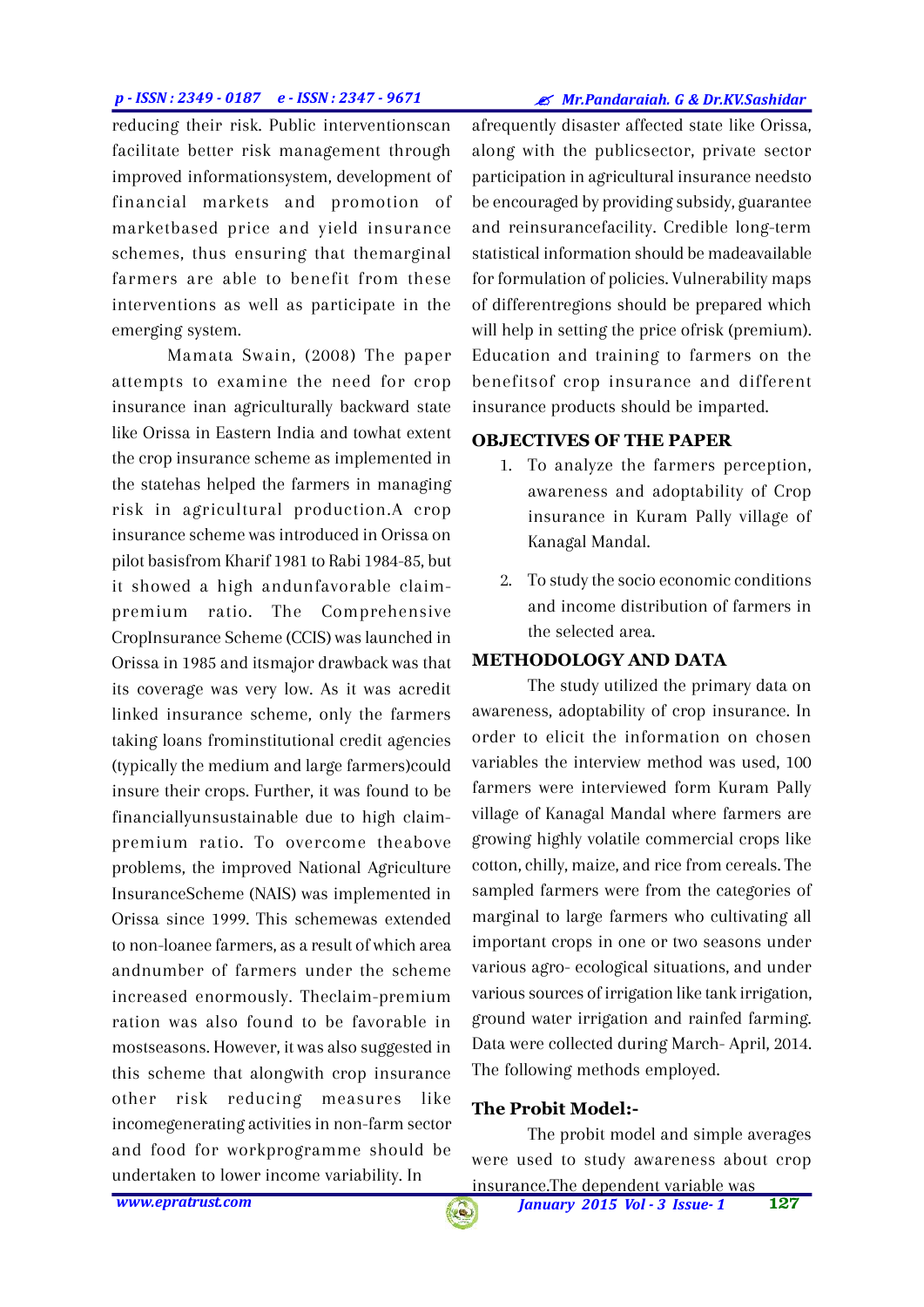#### *p - ISSN : 2349 - 0187 e - ISSN : 2347 - 9671*

*Mr.Pandaraiah. G & Dr.KV.Sashidar*

reducing their risk. Public interventionscan facilitate better risk management through improved informationsystem, development of financial markets and promotion of marketbased price and yield insurance schemes, thus ensuring that themarginal farmers are able to benefit from these interventions as well as participate in the emerging system.

Mamata Swain, (2008) The paper attempts to examine the need for crop insurance inan agriculturally backward state like Orissa in Eastern India and towhat extent the crop insurance scheme as implemented in the statehas helped the farmers in managing risk in agricultural production.A crop insurance scheme was introduced in Orissa on pilot basisfrom Kharif 1981 to Rabi 1984-85, but it showed a high andunfavorable claimpremium ratio. The Comprehensive CropInsurance Scheme (CCIS) was launched in Orissa in 1985 and itsmajor drawback was that its coverage was very low. As it was acredit linked insurance scheme, only the farmers taking loans frominstitutional credit agencies (typically the medium and large farmers)could insure their crops. Further, it was found to be financiallyunsustainable due to high claimpremium ratio. To overcome theabove problems, the improved National Agriculture InsuranceScheme (NAIS) was implemented in Orissa since 1999. This schemewas extended to non-loanee farmers, as a result of which area andnumber of farmers under the scheme increased enormously. Theclaim-premium ration was also found to be favorable in mostseasons. However, it was also suggested in this scheme that alongwith crop insurance other risk reducing measures like incomegenerating activities in non-farm sector and food for workprogramme should be undertaken to lower income variability. In

afrequently disaster affected state like Orissa, along with the publicsector, private sector participation in agricultural insurance needsto be encouraged by providing subsidy, guarantee and reinsurancefacility. Credible long-term statistical information should be madeavailable for formulation of policies. Vulnerability maps of differentregions should be prepared which will help in setting the price ofrisk (premium). Education and training to farmers on the benefitsof crop insurance and different insurance products should be imparted.

## **OBJECTIVES OF THE PAPER**

- 1. To analyze the farmers perception, awareness and adoptability of Crop insurance in Kuram Pally village of Kanagal Mandal.
- 2. To study the socio economic conditions and income distribution of farmers in the selected area.

## **METHODOLOGY AND DATA**

The study utilized the primary data on awareness, adoptability of crop insurance. In order to elicit the information on chosen variables the interview method was used, 100 farmers were interviewed form Kuram Pally village of Kanagal Mandal where farmers are growing highly volatile commercial crops like cotton, chilly, maize, and rice from cereals. The sampled farmers were from the categories of marginal to large farmers who cultivating all important crops in one or two seasons under various agro- ecological situations, and under various sources of irrigation like tank irrigation, ground water irrigation and rainfed farming. Data were collected during March- April, 2014. The following methods employed.

## **The Probit Model:-**

The probit model and simple averages were used to study awareness about crop insurance.The dependent variable was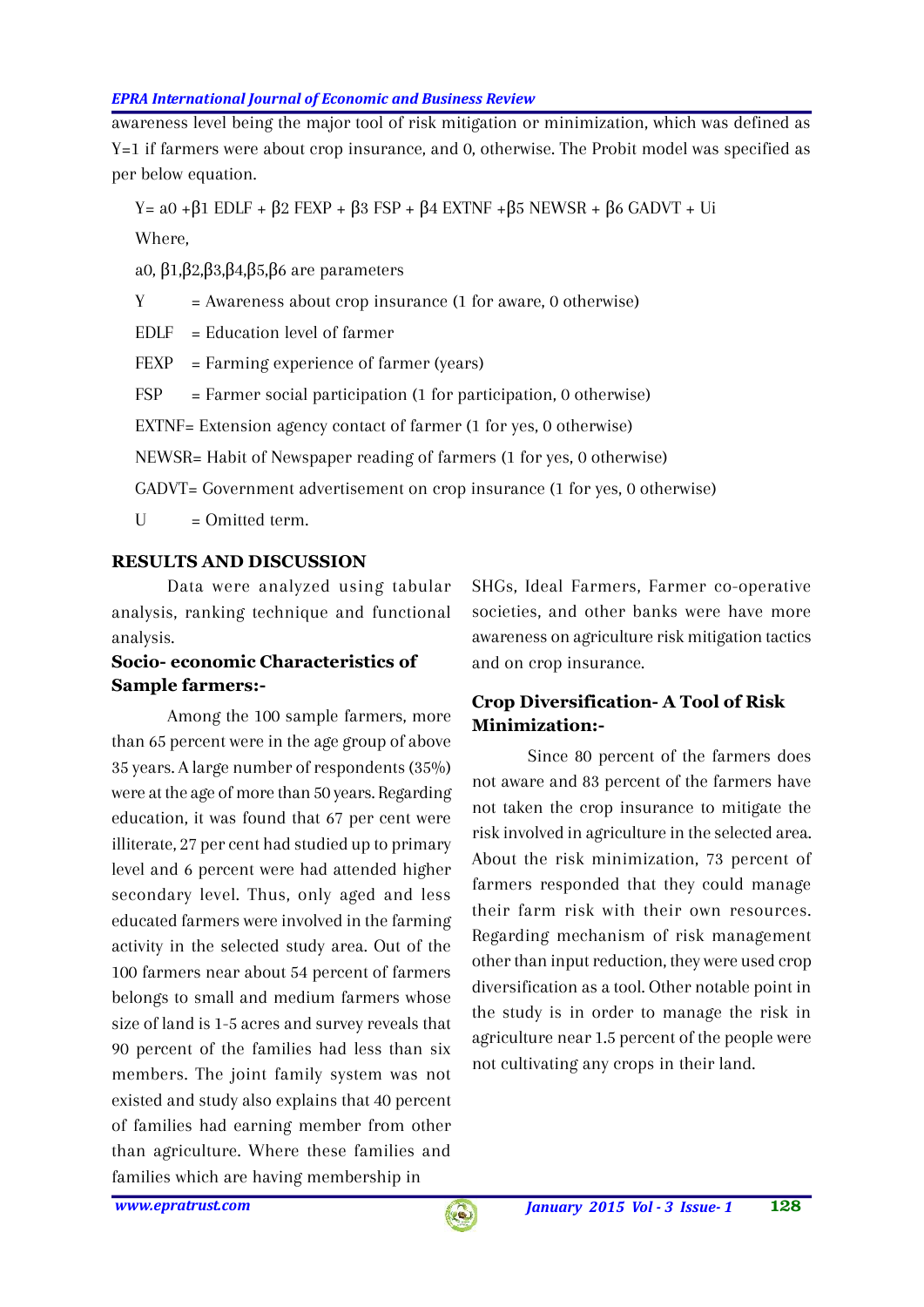awareness level being the major tool of risk mitigation or minimization, which was defined as Y=1 if farmers were about crop insurance, and 0, otherwise. The Probit model was specified as per below equation.

 $Y= a0 + 1 E DLF + 2 FEXP + 3 FSP + 4 EXTNF + 5 NEWSR + 6 GADVT + Ut$ Where,

a0, 1, 2, 3, 4, 5, 6 are parameters

 $Y =$  Awareness about crop insurance (1 for aware, 0 otherwise)

EDLF = Education level of farmer

FEXP = Farming experience of farmer (years)

FSP = Farmer social participation (1 for participation, 0 otherwise)

EXTNF= Extension agency contact of farmer (1 for yes, 0 otherwise)

NEWSR= Habit of Newspaper reading of farmers (1 for yes, 0 otherwise)

GADVT= Government advertisement on crop insurance (1 for yes, 0 otherwise)

 $U = Omited term$ .

## **RESULTS AND DISCUSSION**

Data were analyzed using tabular analysis, ranking technique and functional analysis.

## **Socio- economic Characteristics of Sample farmers:-**

Among the 100 sample farmers, more than 65 percent were in the age group of above 35 years. A large number of respondents (35%) were at the age of more than 50 years. Regarding education, it was found that 67 per cent were illiterate, 27 per cent had studied up to primary level and 6 percent were had attended higher secondary level. Thus, only aged and less educated farmers were involved in the farming activity in the selected study area. Out of the 100 farmers near about 54 percent of farmers belongs to small and medium farmers whose size of land is 1-5 acres and survey reveals that 90 percent of the families had less than six members. The joint family system was not existed and study also explains that 40 percent of families had earning member from other than agriculture. Where these families and families which are having membership in

SHGs, Ideal Farmers, Farmer co-operative societies, and other banks were have more awareness on agriculture risk mitigation tactics and on crop insurance.

# **Crop Diversification- A Tool of Risk Minimization:-**

Since 80 percent of the farmers does not aware and 83 percent of the farmers have not taken the crop insurance to mitigate the risk involved in agriculture in the selected area. About the risk minimization, 73 percent of farmers responded that they could manage their farm risk with their own resources. Regarding mechanism of risk management other than input reduction, they were used crop diversification as a tool. Other notable point in the study is in order to manage the risk in agriculture near 1.5 percent of the people were not cultivating any crops in their land.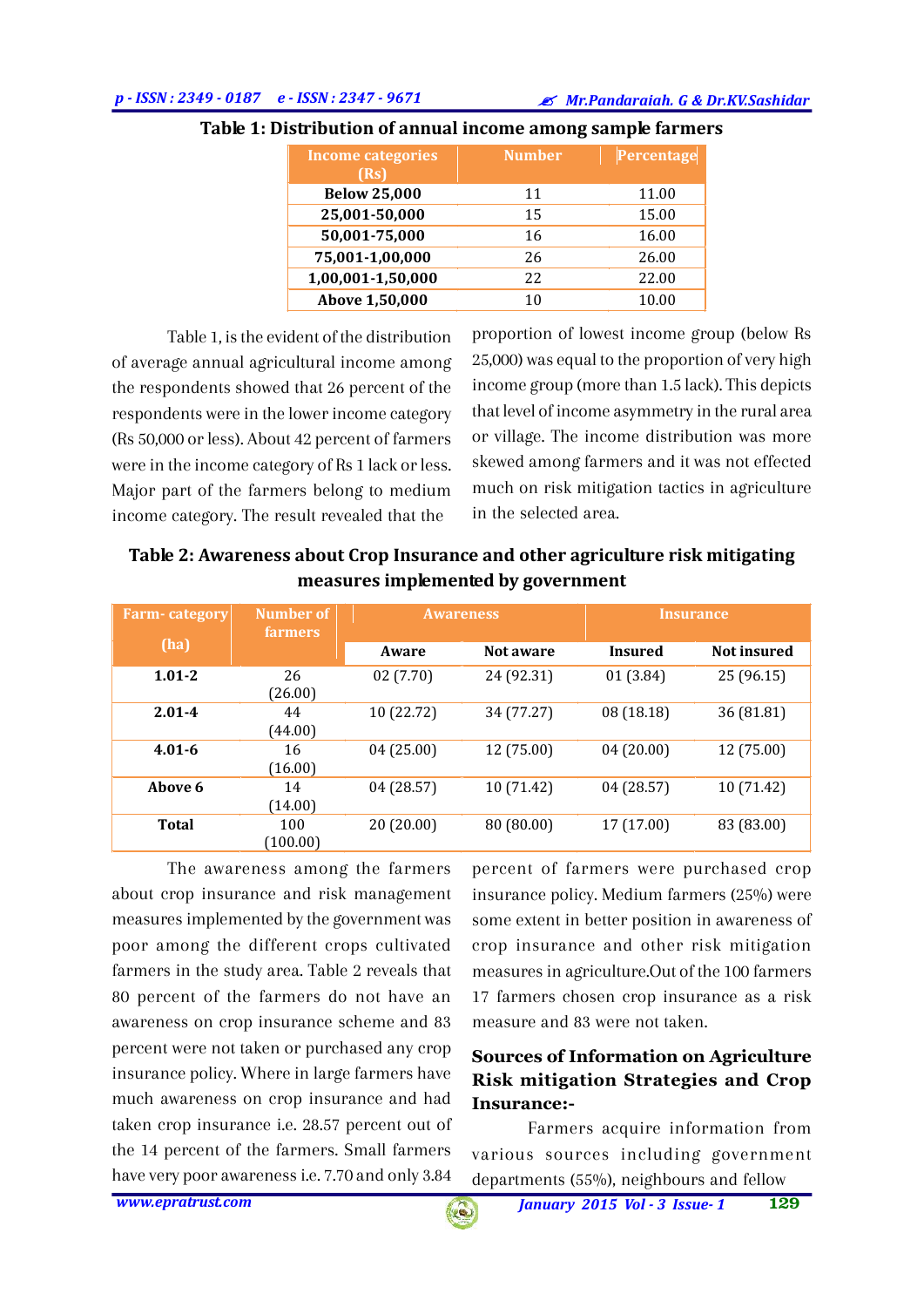| <b>Income categories</b><br>(Rs) | <b>Number</b> | Percentage |
|----------------------------------|---------------|------------|
| <b>Below 25,000</b>              | 11            | 11.00      |
| 25,001-50,000                    | 15            | 15.00      |
| 50,001-75,000                    | 16            | 16.00      |
| 75,001-1,00,000                  | 26            | 26.00      |
| 1,00,001-1,50,000                | 22            | 22.00      |
| Above 1,50,000                   | 10            | 10.00      |

## **Table 1: Distribution of annual income among sample farmers**

Table 1, is the evident of the distribution of average annual agricultural income among the respondents showed that 26 percent of the respondents were in the lower income category (Rs 50,000 or less). About 42 percent of farmers were in the income category of Rs 1 lack or less. Major part of the farmers belong to medium income category. The result revealed that the

proportion of lowest income group (below Rs 25,000) was equal to the proportion of very high income group (more than 1.5 lack). This depicts that level of income asymmetry in the rural area or village. The income distribution was more skewed among farmers and it was not effected much on risk mitigation tactics in agriculture in the selected area.

| Table 2: Awareness about Crop Insurance and other agriculture risk mitigating |  |  |  |
|-------------------------------------------------------------------------------|--|--|--|
| measures implemented by government                                            |  |  |  |

| <b>Farm-category</b> | <b>Number of</b> | <b>Awareness</b> |            | <b>Insurance</b> |             |
|----------------------|------------------|------------------|------------|------------------|-------------|
| (ha)                 | <b>farmers</b>   | Aware            | Not aware  | Insured          | Not insured |
| $1.01 - 2$           | 26<br>(26.00)    | 02(7.70)         | 24 (92.31) | 01(3.84)         | 25 (96.15)  |
| $2.01 - 4$           | 44<br>(44.00)    | 10 (22.72)       | 34 (77.27) | 08 (18.18)       | 36 (81.81)  |
| $4.01 - 6$           | 16<br>(16.00)    | 04(25.00)        | 12 (75.00) | 04(20.00)        | 12 (75.00)  |
| Above 6              | 14<br>(14.00)    | 04 (28.57)       | 10 (71.42) | 04 (28.57)       | 10 (71.42)  |
| <b>Total</b>         | 100<br>(100.00)  | 20 (20.00)       | 80 (80.00) | 17 (17.00)       | 83 (83.00)  |

The awareness among the farmers about crop insurance and risk management measures implemented by the government was poor among the different crops cultivated farmers in the study area. Table 2 reveals that 80 percent of the farmers do not have an awareness on crop insurance scheme and 83 percent were not taken or purchased any crop insurance policy. Where in large farmers have much awareness on crop insurance and had taken crop insurance i.e. 28.57 percent out of the 14 percent of the farmers. Small farmers have very poor awareness i.e. 7.70 and only 3.84

percent of farmers were purchased crop insurance policy. Medium farmers (25%) were some extent in better position in awareness of crop insurance and other risk mitigation measures in agriculture.Out of the 100 farmers 17 farmers chosen crop insurance as a risk measure and 83 were not taken.

# **Sources of Information on Agriculture Risk mitigation Strategies and Crop Insurance:-**

Farmers acquire information from various sources including government departments (55%), neighbours and fellow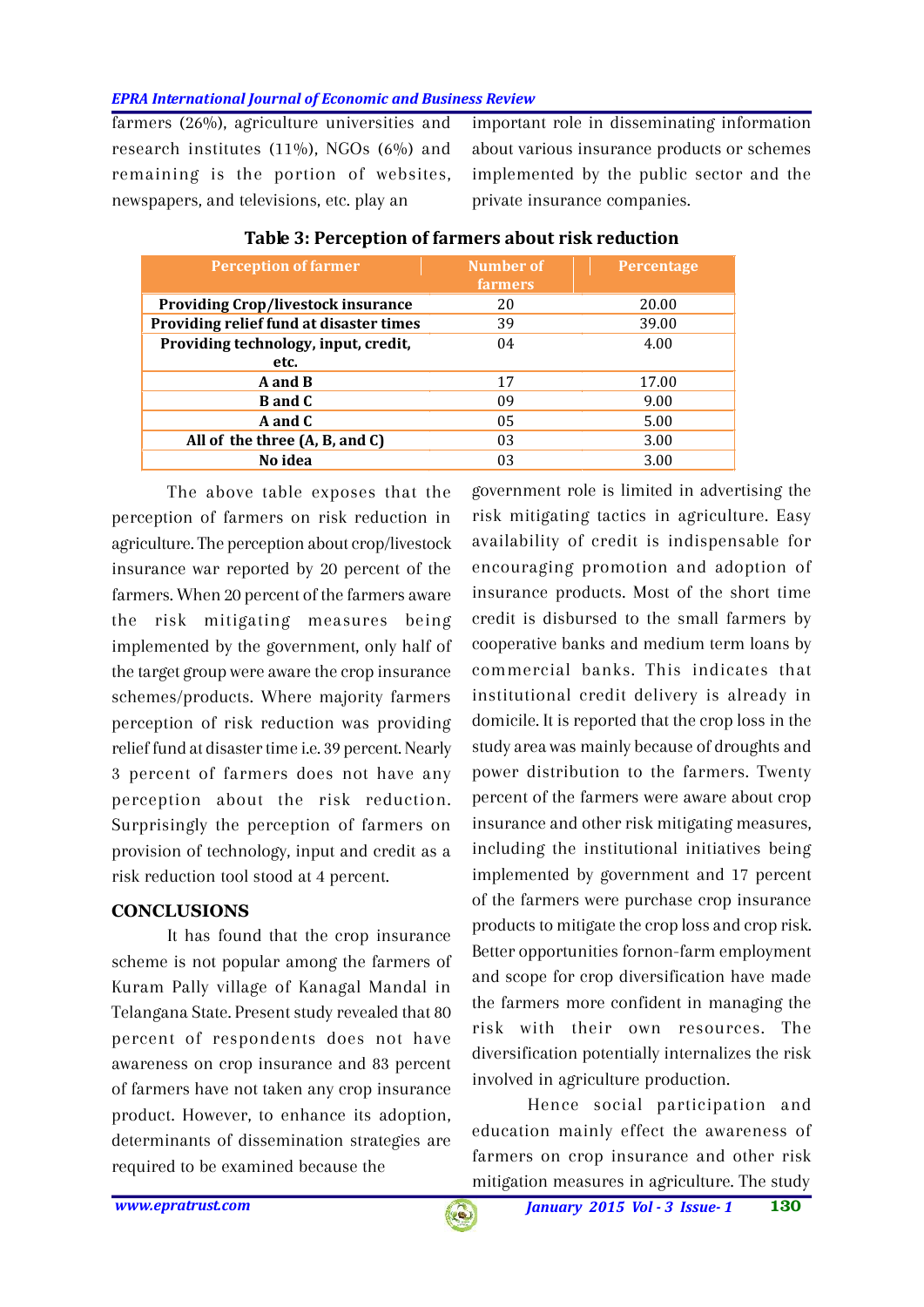farmers (26%), agriculture universities and research institutes  $(11\%)$ , NGOs  $(6\%)$  and remaining is the portion of websites, newspapers, and televisions, etc. play an

important role in disseminating information about various insurance products or schemes implemented by the public sector and the private insurance companies.

| <b>Perception of farmer</b>               | Number of<br><b>farmers</b> | <b>Percentage</b> |
|-------------------------------------------|-----------------------------|-------------------|
| <b>Providing Crop/livestock insurance</b> | 20                          | 20.00             |
| Providing relief fund at disaster times   | 39                          | 39.00             |
| Providing technology, input, credit,      | 04                          | 4.00              |
| etc.                                      |                             |                   |
| A and B                                   | 17                          | 17.00             |
| <b>B</b> and C                            | 09                          | 9.00              |
| A and C                                   | 05                          | 5.00              |
| All of the three $(A, B, and C)$          | 03                          | 3.00              |
| No idea                                   | 03                          | 3.00              |

# **Table 3: Perception of farmers about risk reduction**

The above table exposes that the perception of farmers on risk reduction in agriculture. The perception about crop/livestock insurance war reported by 20 percent of the farmers. When 20 percent of the farmers aware the risk mitigating measures being implemented by the government, only half of the target group were aware the crop insurance schemes/products. Where majority farmers perception of risk reduction was providing relief fund at disaster time i.e. 39 percent. Nearly 3 percent of farmers does not have any perception about the risk reduction. Surprisingly the perception of farmers on provision of technology, input and credit as a risk reduction tool stood at 4 percent.

## **CONCLUSIONS**

It has found that the crop insurance scheme is not popular among the farmers of Kuram Pally village of Kanagal Mandal in Telangana State. Present study revealed that 80 percent of respondents does not have awareness on crop insurance and 83 percent of farmers have not taken any crop insurance product. However, to enhance its adoption, determinants of dissemination strategies are required to be examined because the

government role is limited in advertising the risk mitigating tactics in agriculture. Easy availability of credit is indispensable for encouraging promotion and adoption of insurance products. Most of the short time credit is disbursed to the small farmers by cooperative banks and medium term loans by commercial banks. This indicates that institutional credit delivery is already in domicile. It is reported that the crop loss in the study area was mainly because of droughts and power distribution to the farmers. Twenty percent of the farmers were aware about crop insurance and other risk mitigating measures, including the institutional initiatives being implemented by government and 17 percent of the farmers were purchase crop insurance products to mitigate the crop loss and crop risk. Better opportunities fornon-farm employment and scope for crop diversification have made the farmers more confident in managing the risk with their own resources. The diversification potentially internalizes the risk involved in agriculture production.

Hence social participation and education mainly effect the awareness of farmers on crop insurance and other risk mitigation measures in agriculture. The study